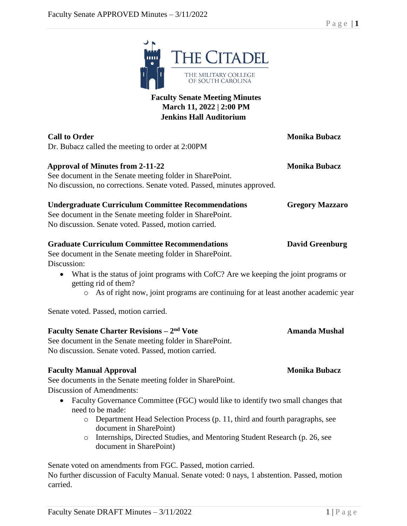$\vert$  mm  $\vert$ 

| THE MILITARY COLLEGE<br>OF SOUTH CAROLINA                                                                                                                                                                                                                                                                          |                        |
|--------------------------------------------------------------------------------------------------------------------------------------------------------------------------------------------------------------------------------------------------------------------------------------------------------------------|------------------------|
| <b>Faculty Senate Meeting Minutes</b><br>March 11, 2022   2:00 PM<br><b>Jenkins Hall Auditorium</b>                                                                                                                                                                                                                |                        |
| <b>Call to Order</b><br>Dr. Bubacz called the meeting to order at 2:00PM                                                                                                                                                                                                                                           | <b>Monika Bubacz</b>   |
| <b>Approval of Minutes from 2-11-22</b><br>See document in the Senate meeting folder in SharePoint.<br>No discussion, no corrections. Senate voted. Passed, minutes approved.                                                                                                                                      | <b>Monika Bubacz</b>   |
| <b>Undergraduate Curriculum Committee Recommendations</b><br>See document in the Senate meeting folder in SharePoint.<br>No discussion. Senate voted. Passed, motion carried.                                                                                                                                      | <b>Gregory Mazzaro</b> |
| <b>Graduate Curriculum Committee Recommendations</b><br>See document in the Senate meeting folder in SharePoint.<br>Discussion:                                                                                                                                                                                    | <b>David Greenburg</b> |
| What is the status of joint programs with CofC? Are we keeping the joint programs or<br>$\bullet$<br>getting rid of them?<br>o As of right now, joint programs are continuing for at least another academic year                                                                                                   |                        |
| Senate voted. Passed, motion carried.                                                                                                                                                                                                                                                                              |                        |
| <b>Faculty Senate Charter Revisions – 2nd Vote</b><br>See document in the Senate meeting folder in SharePoint.<br>No discussion. Senate voted. Passed, motion carried.                                                                                                                                             | <b>Amanda Mushal</b>   |
| <b>Faculty Manual Approval</b><br>See documents in the Senate meeting folder in SharePoint.<br><b>Discussion of Amendments:</b>                                                                                                                                                                                    | <b>Monika Bubacz</b>   |
| Faculty Governance Committee (FGC) would like to identify two small changes that<br>$\bullet$<br>need to be made:<br>Department Head Selection Process (p. 11, third and fourth paragraphs, see<br>document in SharePoint)<br>Internships, Directed Studies, and Mentoring Student Research (p. 26, see<br>$\circ$ |                        |
| document in SharePoint)                                                                                                                                                                                                                                                                                            |                        |

THE CITADEL

Senate voted on amendments from FGC. Passed, motion carried. No further discussion of Faculty Manual. Senate voted: 0 nays, 1 abstention. Passed, motion carried.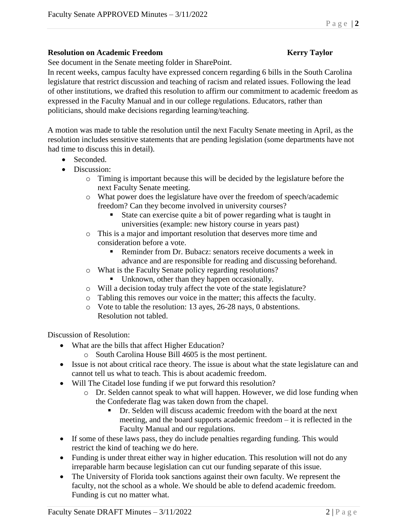### **Resolution on Academic Freedom Kerry Taylor**

See document in the Senate meeting folder in SharePoint.

In recent weeks, campus faculty have expressed concern regarding 6 bills in the South Carolina legislature that restrict discussion and teaching of racism and related issues. Following the lead of other institutions, we drafted this resolution to affirm our commitment to academic freedom as expressed in the Faculty Manual and in our college regulations. Educators, rather than politicians, should make decisions regarding learning/teaching.

A motion was made to table the resolution until the next Faculty Senate meeting in April, as the resolution includes sensitive statements that are pending legislation (some departments have not had time to discuss this in detail).

- Seconded
- Discussion:
	- o Timing is important because this will be decided by the legislature before the next Faculty Senate meeting.
	- o What power does the legislature have over the freedom of speech/academic freedom? Can they become involved in university courses?
		- State can exercise quite a bit of power regarding what is taught in universities (example: new history course in years past)
	- o This is a major and important resolution that deserves more time and consideration before a vote.
		- Reminder from Dr. Bubacz: senators receive documents a week in advance and are responsible for reading and discussing beforehand.
	- o What is the Faculty Senate policy regarding resolutions?
		- Unknown, other than they happen occasionally.
	- o Will a decision today truly affect the vote of the state legislature?
	- o Tabling this removes our voice in the matter; this affects the faculty.
	- o Vote to table the resolution: 13 ayes, 26-28 nays, 0 abstentions. Resolution not tabled.

Discussion of Resolution:

- What are the bills that affect Higher Education?
	- o South Carolina House Bill 4605 is the most pertinent.
- Issue is not about critical race theory. The issue is about what the state legislature can and cannot tell us what to teach. This is about academic freedom.
- Will The Citadel lose funding if we put forward this resolution?
	- o Dr. Selden cannot speak to what will happen. However, we did lose funding when the Confederate flag was taken down from the chapel.
		- Dr. Selden will discuss academic freedom with the board at the next meeting, and the board supports academic freedom – it is reflected in the Faculty Manual and our regulations.
- If some of these laws pass, they do include penalties regarding funding. This would restrict the kind of teaching we do here.
- Funding is under threat either way in higher education. This resolution will not do any irreparable harm because legislation can cut our funding separate of this issue.
- The University of Florida took sanctions against their own faculty. We represent the faculty, not the school as a whole. We should be able to defend academic freedom. Funding is cut no matter what.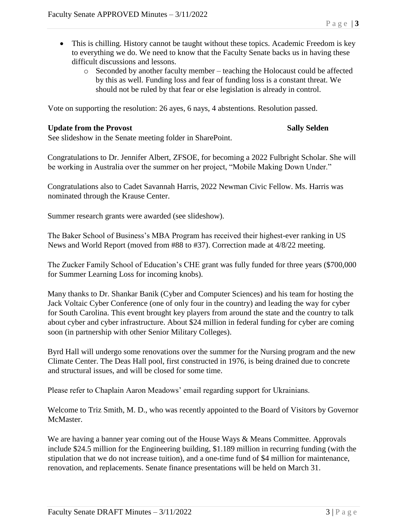- This is chilling. History cannot be taught without these topics. Academic Freedom is key to everything we do. We need to know that the Faculty Senate backs us in having these difficult discussions and lessons.
	- o Seconded by another faculty member teaching the Holocaust could be affected by this as well. Funding loss and fear of funding loss is a constant threat. We should not be ruled by that fear or else legislation is already in control.

Vote on supporting the resolution: 26 ayes, 6 nays, 4 abstentions. Resolution passed.

### **Update from the Provost Sally Selden**

See slideshow in the Senate meeting folder in SharePoint.

Congratulations to Dr. Jennifer Albert, ZFSOE, for becoming a 2022 Fulbright Scholar. She will be working in Australia over the summer on her project, "Mobile Making Down Under."

Congratulations also to Cadet Savannah Harris, 2022 Newman Civic Fellow. Ms. Harris was nominated through the Krause Center.

Summer research grants were awarded (see slideshow).

The Baker School of Business's MBA Program has received their highest-ever ranking in US News and World Report (moved from #88 to #37). Correction made at 4/8/22 meeting.

The Zucker Family School of Education's CHE grant was fully funded for three years (\$700,000 for Summer Learning Loss for incoming knobs).

Many thanks to Dr. Shankar Banik (Cyber and Computer Sciences) and his team for hosting the Jack Voltaic Cyber Conference (one of only four in the country) and leading the way for cyber for South Carolina. This event brought key players from around the state and the country to talk about cyber and cyber infrastructure. About \$24 million in federal funding for cyber are coming soon (in partnership with other Senior Military Colleges).

Byrd Hall will undergo some renovations over the summer for the Nursing program and the new Climate Center. The Deas Hall pool, first constructed in 1976, is being drained due to concrete and structural issues, and will be closed for some time.

Please refer to Chaplain Aaron Meadows' email regarding support for Ukrainians.

Welcome to Triz Smith, M. D., who was recently appointed to the Board of Visitors by Governor McMaster.

We are having a banner year coming out of the House Ways & Means Committee. Approvals include \$24.5 million for the Engineering building, \$1.189 million in recurring funding (with the stipulation that we do not increase tuition), and a one-time fund of \$4 million for maintenance, renovation, and replacements. Senate finance presentations will be held on March 31.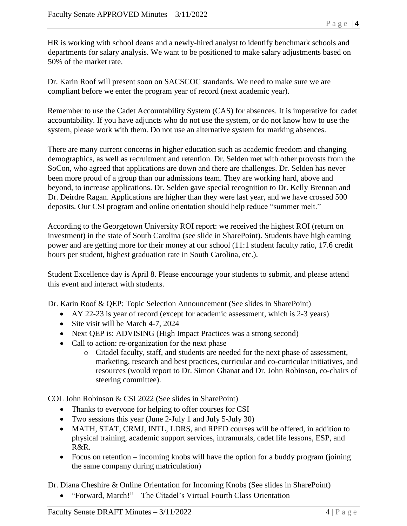HR is working with school deans and a newly-hired analyst to identify benchmark schools and departments for salary analysis. We want to be positioned to make salary adjustments based on 50% of the market rate.

Dr. Karin Roof will present soon on SACSCOC standards. We need to make sure we are compliant before we enter the program year of record (next academic year).

Remember to use the Cadet Accountability System (CAS) for absences. It is imperative for cadet accountability. If you have adjuncts who do not use the system, or do not know how to use the system, please work with them. Do not use an alternative system for marking absences.

There are many current concerns in higher education such as academic freedom and changing demographics, as well as recruitment and retention. Dr. Selden met with other provosts from the SoCon, who agreed that applications are down and there are challenges. Dr. Selden has never been more proud of a group than our admissions team. They are working hard, above and beyond, to increase applications. Dr. Selden gave special recognition to Dr. Kelly Brennan and Dr. Deirdre Ragan. Applications are higher than they were last year, and we have crossed 500 deposits. Our CSI program and online orientation should help reduce "summer melt."

According to the Georgetown University ROI report: we received the highest ROI (return on investment) in the state of South Carolina (see slide in SharePoint). Students have high earning power and are getting more for their money at our school (11:1 student faculty ratio, 17.6 credit hours per student, highest graduation rate in South Carolina, etc.).

Student Excellence day is April 8. Please encourage your students to submit, and please attend this event and interact with students.

Dr. Karin Roof & QEP: Topic Selection Announcement (See slides in SharePoint)

- AY 22-23 is year of record (except for academic assessment, which is 2-3 years)
- Site visit will be March 4-7, 2024
- Next QEP is: ADVISING (High Impact Practices was a strong second)
- Call to action: re-organization for the next phase
	- o Citadel faculty, staff, and students are needed for the next phase of assessment, marketing, research and best practices, curricular and co-curricular initiatives, and resources (would report to Dr. Simon Ghanat and Dr. John Robinson, co-chairs of steering committee).

COL John Robinson & CSI 2022 (See slides in SharePoint)

- Thanks to everyone for helping to offer courses for CSI
- Two sessions this year (June 2-July 1 and July 5-July 30)
- MATH, STAT, CRMJ, INTL, LDRS, and RPED courses will be offered, in addition to physical training, academic support services, intramurals, cadet life lessons, ESP, and R&R.
- Focus on retention incoming knobs will have the option for a buddy program (joining the same company during matriculation)

Dr. Diana Cheshire & Online Orientation for Incoming Knobs (See slides in SharePoint)

• "Forward, March!" – The Citadel's Virtual Fourth Class Orientation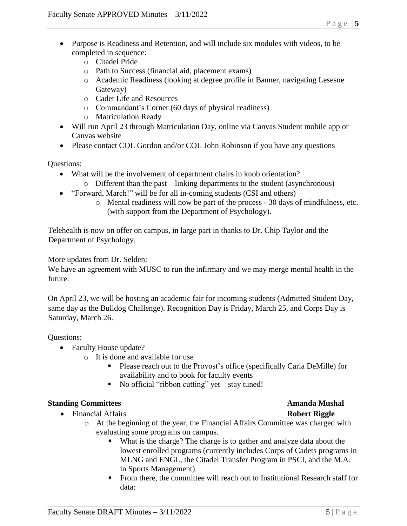- Purpose is Readiness and Retention, and will include six modules with videos, to be completed in sequence:
	- o Citadel Pride
	- o Path to Success (financial aid, placement exams)
	- o Academic Readiness (looking at degree profile in Banner, navigating Lesesne Gateway)
	- o Cadet Life and Resources
	- o Commandant's Corner (60 days of physical readiness)
	- o Matriculation Ready
- Will run April 23 through Matriculation Day, online via Canvas Student mobile app or Canvas website
- Please contact COL Gordon and/or COL John Robinson if you have any questions

Questions:

- What will be the involvement of department chairs in knob orientation? o Different than the past – linking departments to the student (asynchronous)
- "Forward, March!" will be for all in-coming students (CSI and others)
	- o Mental readiness will now be part of the process 30 days of mindfulness, etc. (with support from the Department of Psychology).

Telehealth is now on offer on campus, in large part in thanks to Dr. Chip Taylor and the Department of Psychology.

More updates from Dr. Selden:

We have an agreement with MUSC to run the infirmary and we may merge mental health in the future.

On April 23, we will be hosting an academic fair for incoming students (Admitted Student Day, same day as the Bulldog Challenge). Recognition Day is Friday, March 25, and Corps Day is Saturday, March 26.

Questions:

- Faculty House update?
	- o It is done and available for use
		- Please reach out to the Provost's office (specifically Carla DeMille) for availability and to book for faculty events
		- $\blacksquare$  No official "ribbon cutting" yet stay tuned!

### **Standing Committees Amanda Mushal**

- Financial Affairs **Robert Riggle**
	- o At the beginning of the year, the Financial Affairs Committee was charged with evaluating some programs on campus.
		- What is the charge? The charge is to gather and analyze data about the lowest enrolled programs (currently includes Corps of Cadets programs in MLNG and ENGL, the Citadel Transfer Program in PSCI, and the M.A. in Sports Management).
		- **•** From there, the committee will reach out to Institutional Research staff for data: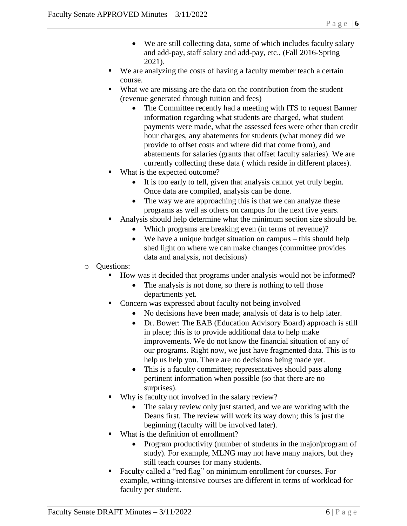- We are still collecting data, some of which includes faculty salary and add-pay, staff salary and add-pay, etc., (Fall 2016-Spring 2021).
- We are analyzing the costs of having a faculty member teach a certain course.
- What we are missing are the data on the contribution from the student (revenue generated through tuition and fees)
	- The Committee recently had a meeting with ITS to request Banner information regarding what students are charged, what student payments were made, what the assessed fees were other than credit hour charges, any abatements for students (what money did we provide to offset costs and where did that come from), and abatements for salaries (grants that offset faculty salaries). We are currently collecting these data ( which reside in different places).
- What is the expected outcome?
	- It is too early to tell, given that analysis cannot yet truly begin. Once data are compiled, analysis can be done.
	- The way we are approaching this is that we can analyze these programs as well as others on campus for the next five years.
- Analysis should help determine what the minimum section size should be.
	- Which programs are breaking even (in terms of revenue)?
	- We have a unique budget situation on campus this should help shed light on where we can make changes (committee provides data and analysis, not decisions)
- o Questions:
	- How was it decided that programs under analysis would not be informed?
		- The analysis is not done, so there is nothing to tell those departments yet.
	- Concern was expressed about faculty not being involved
		- No decisions have been made; analysis of data is to help later.
		- Dr. Bower: The EAB (Education Advisory Board) approach is still in place; this is to provide additional data to help make improvements. We do not know the financial situation of any of our programs. Right now, we just have fragmented data. This is to help us help you. There are no decisions being made yet.
		- This is a faculty committee; representatives should pass along pertinent information when possible (so that there are no surprises).
	- Why is faculty not involved in the salary review?
		- The salary review only just started, and we are working with the Deans first. The review will work its way down; this is just the beginning (faculty will be involved later).
	- What is the definition of enrollment?
		- Program productivity (number of students in the major/program of study). For example, MLNG may not have many majors, but they still teach courses for many students.
	- Faculty called a "red flag" on minimum enrollment for courses. For example, writing-intensive courses are different in terms of workload for faculty per student.